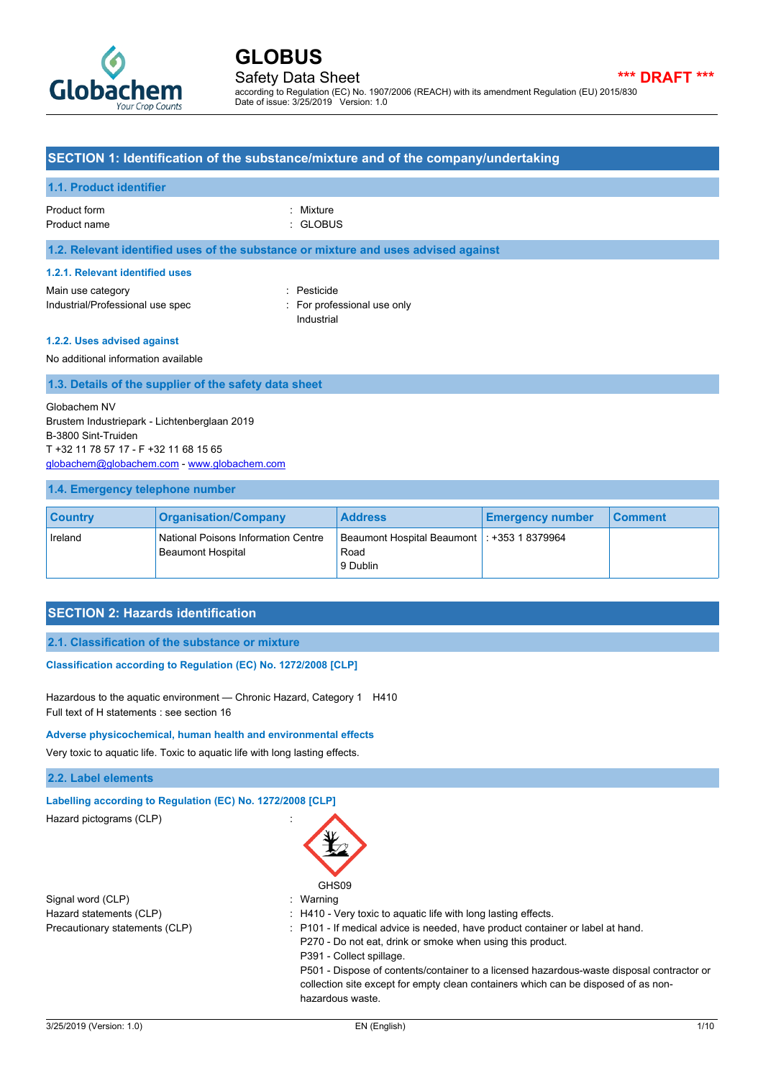

Safety Data Sheet **\*\*\* DRAFT \*\*\*** according to Regulation (EC) No. 1907/2006 (REACH) with its amendment Regulation (EU) 2015/830 Date of issue: 3/25/2019 Version: 1.0

### **SECTION 1: Identification of the substance/mixture and of the company/undertaking**

#### **1.1. Product identifier**

## Product form : Nixture : Mixture

Product name : GLOBUS

#### **1.2. Relevant identified uses of the substance or mixture and uses advised against**

#### **1.2.1. Relevant identified uses**

Main use category **in the set of the COV** and the Pesticide Industrial/Professional use spec : For professional use only

Industrial

#### **1.2.2. Uses advised against**

No additional information available

#### **1.3. Details of the supplier of the safety data sheet**

Globachem NV Brustem Industriepark - Lichtenberglaan 2019 B-3800 Sint-Truiden T +32 11 78 57 17 - F +32 11 68 15 65 [globachem@globachem.com](mailto:globachem@globachem.com) - <www.globachem.com>

#### **1.4. Emergency telephone number**

| <b>Country</b> | <b>Organisation/Company</b>                                            | <b>Address</b>                                                    | <b>Emergency number</b> | <b>Comment</b> |
|----------------|------------------------------------------------------------------------|-------------------------------------------------------------------|-------------------------|----------------|
| Ireland        | <b>National Poisons Information Centre</b><br><b>Beaumont Hospital</b> | Beaumont Hospital Beaumont   : +353 1 8379964<br>Road<br>9 Dublin |                         |                |

### **SECTION 2: Hazards identification**

#### **2.1. Classification of the substance or mixture**

#### Classification according to Regulation (EC) No. 1272/2008 [CLP]

Hazardous to the aquatic environment — Chronic Hazard, Category 1 H410 Full text of H statements : see section 16

#### **Adverse physicochemical, human health and environmental effects**

Very toxic to aquatic life. Toxic to aquatic life with long lasting effects.

### **2.2. Label elements**

| Labelling according to Regulation (EC) No. 1272/2008 [CLP] |                                                                                           |
|------------------------------------------------------------|-------------------------------------------------------------------------------------------|
| Hazard pictograms (CLP)                                    |                                                                                           |
| Signal word (CLP)                                          | GHS09<br>: Warning                                                                        |
|                                                            |                                                                                           |
| Hazard statements (CLP)                                    | : H410 - Very toxic to aguatic life with long lasting effects.                            |
| Precautionary statements (CLP)                             | : P101 - If medical advice is needed, have product container or label at hand.            |
|                                                            | P270 - Do not eat, drink or smoke when using this product.                                |
|                                                            | P391 - Collect spillage.                                                                  |
|                                                            | P501 - Dispose of contents/container to a licensed hazardous-waste disposal contractor or |
|                                                            | collection site except for empty clean containers which can be disposed of as non-        |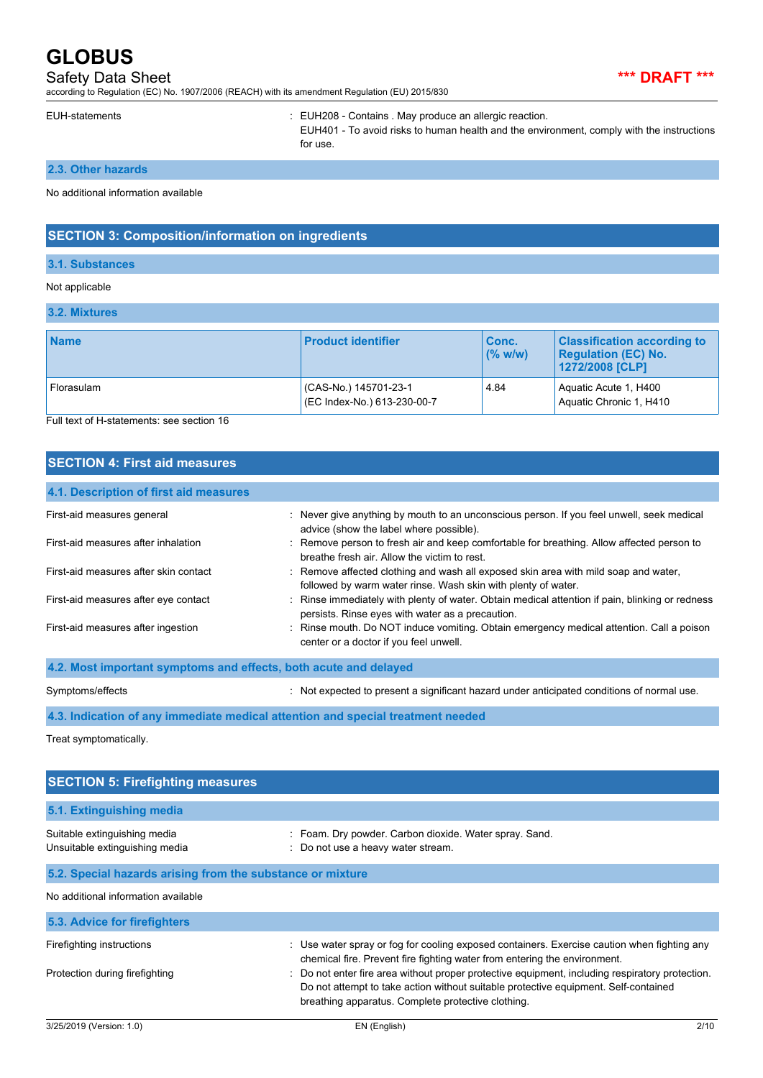## Safety Data Sheet **\*\*\* DRAFT \*\*\***

according to Regulation (EC) No. 1907/2006 (REACH) with its amendment Regulation (EU) 2015/830

EUH-statements : EUH208 - Contains . May produce an allergic reaction.

EUH401 - To avoid risks to human health and the environment, comply with the instructions for use.

### **2.3. Other hazards**

No additional information available

## **SECTION 3: Composition/information on ingredients**

#### **3.1. Substances**

#### Not applicable

#### **3.2. Mixtures**

| <b>Name</b> | <b>Product identifier</b>                            | Conc.<br>$($ % w/w) | <b>Classification according to</b><br><b>Regulation (EC) No.</b><br>1272/2008 [CLP] |
|-------------|------------------------------------------------------|---------------------|-------------------------------------------------------------------------------------|
| Florasulam  | (CAS-No.) 145701-23-1<br>(EC Index-No.) 613-230-00-7 | 4.84                | Aquatic Acute 1, H400<br>Aquatic Chronic 1, H410                                    |

Full text of H-statements: see section 16

## **SECTION 4: First aid measures**

| 4.1. Description of first aid measures                           |                                                                                                                                                      |
|------------------------------------------------------------------|------------------------------------------------------------------------------------------------------------------------------------------------------|
| First-aid measures general                                       | : Never give anything by mouth to an unconscious person. If you feel unwell, seek medical<br>advice (show the label where possible).                 |
| First-aid measures after inhalation                              | : Remove person to fresh air and keep comfortable for breathing. Allow affected person to<br>breathe fresh air. Allow the victim to rest.            |
| First-aid measures after skin contact                            | : Remove affected clothing and wash all exposed skin area with mild soap and water,<br>followed by warm water rinse. Wash skin with plenty of water. |
| First-aid measures after eye contact                             | : Rinse immediately with plenty of water. Obtain medical attention if pain, blinking or redness<br>persists. Rinse eyes with water as a precaution.  |
| First-aid measures after ingestion                               | : Rinse mouth. Do NOT induce vomiting. Obtain emergency medical attention. Call a poison<br>center or a doctor if you feel unwell.                   |
| 4.2. Most important symptoms and effects, both acute and delayed |                                                                                                                                                      |

Symptoms/effects in the symptom of the symptom of the symptom of the symptom of normal use.

**4.3. Indication of any immediate medical attention and special treatment needed**

Treat symptomatically.

| <b>SECTION 5: Firefighting measures</b>                        |                                                                                                                                                                                                                                              |  |  |
|----------------------------------------------------------------|----------------------------------------------------------------------------------------------------------------------------------------------------------------------------------------------------------------------------------------------|--|--|
| 5.1. Extinguishing media                                       |                                                                                                                                                                                                                                              |  |  |
| Suitable extinguishing media<br>Unsuitable extinguishing media | : Foam. Dry powder. Carbon dioxide. Water spray. Sand.<br>: Do not use a heavy water stream.                                                                                                                                                 |  |  |
| 5.2. Special hazards arising from the substance or mixture     |                                                                                                                                                                                                                                              |  |  |
| No additional information available                            |                                                                                                                                                                                                                                              |  |  |
| 5.3. Advice for firefighters                                   |                                                                                                                                                                                                                                              |  |  |
| Firefighting instructions                                      | : Use water spray or fog for cooling exposed containers. Exercise caution when fighting any<br>chemical fire. Prevent fire fighting water from entering the environment.                                                                     |  |  |
| Protection during firefighting                                 | : Do not enter fire area without proper protective equipment, including respiratory protection.<br>Do not attempt to take action without suitable protective equipment. Self-contained<br>breathing apparatus. Complete protective clothing. |  |  |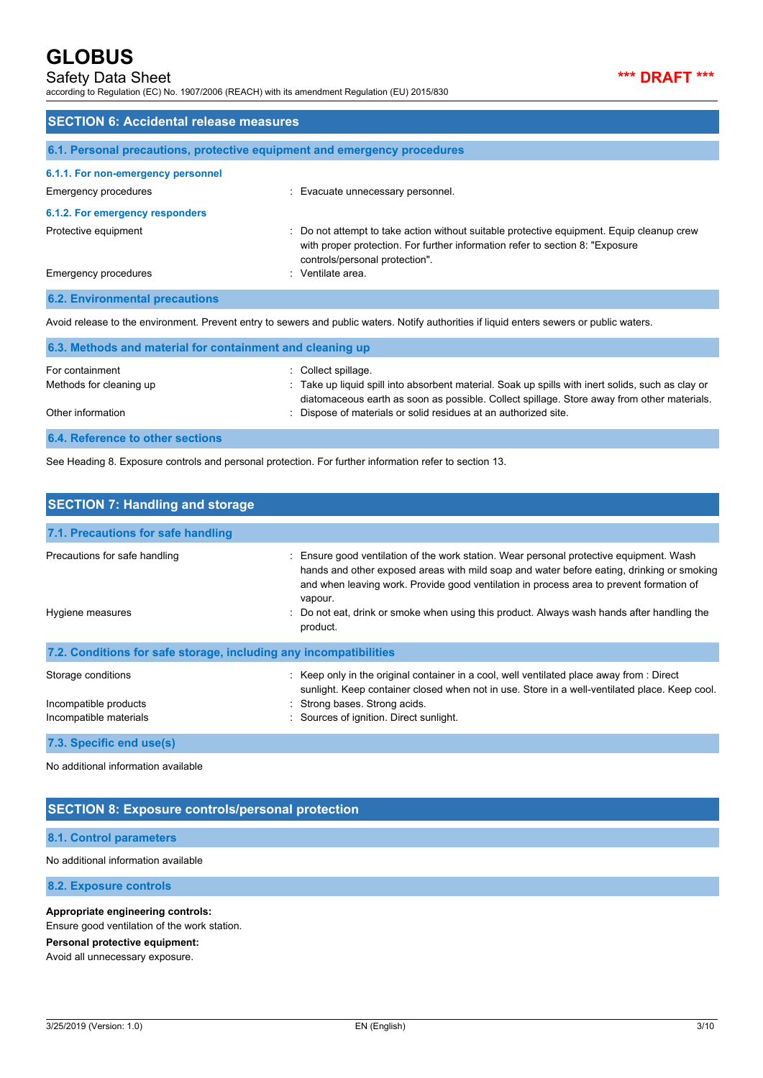## Safety Data Sheet **\*\*\* DRAFT \*\*\***

according to Regulation (EC) No. 1907/2006 (REACH) with its amendment Regulation (EU) 2015/830

| <b>SECTION 6: Accidental release measures</b>                            |                                                                                                                                                                                                            |  |
|--------------------------------------------------------------------------|------------------------------------------------------------------------------------------------------------------------------------------------------------------------------------------------------------|--|
| 6.1. Personal precautions, protective equipment and emergency procedures |                                                                                                                                                                                                            |  |
| 6.1.1. For non-emergency personnel                                       |                                                                                                                                                                                                            |  |
| <b>Emergency procedures</b>                                              | : Evacuate unnecessary personnel.                                                                                                                                                                          |  |
| 6.1.2. For emergency responders                                          |                                                                                                                                                                                                            |  |
| Protective equipment                                                     | Do not attempt to take action without suitable protective equipment. Equip cleanup crew<br>with proper protection. For further information refer to section 8: "Exposure<br>controls/personal protection". |  |
| Emergency procedures                                                     | · Ventilate area                                                                                                                                                                                           |  |
| <b>6.2. Environmental precautions</b>                                    |                                                                                                                                                                                                            |  |

Avoid release to the environment. Prevent entry to sewers and public waters. Notify authorities if liquid enters sewers or public waters.

| 6.3. Methods and material for containment and cleaning up |                                                                                                                                                                                                 |  |  |
|-----------------------------------------------------------|-------------------------------------------------------------------------------------------------------------------------------------------------------------------------------------------------|--|--|
| For containment                                           | Collect spillage.                                                                                                                                                                               |  |  |
| Methods for cleaning up                                   | : Take up liquid spill into absorbent material. Soak up spills with inert solids, such as clay or<br>diatomaceous earth as soon as possible. Collect spillage. Store away from other materials. |  |  |
| Other information                                         | : Dispose of materials or solid residues at an authorized site.                                                                                                                                 |  |  |
| 6.4. Reference to other sections                          |                                                                                                                                                                                                 |  |  |

See Heading 8. Exposure controls and personal protection. For further information refer to section 13.

| <b>SECTION 7: Handling and storage</b>                                |                                                                                                                                                                                                                                                                                                                                                                                                      |  |  |
|-----------------------------------------------------------------------|------------------------------------------------------------------------------------------------------------------------------------------------------------------------------------------------------------------------------------------------------------------------------------------------------------------------------------------------------------------------------------------------------|--|--|
| 7.1. Precautions for safe handling                                    |                                                                                                                                                                                                                                                                                                                                                                                                      |  |  |
| Precautions for safe handling<br>Hygiene measures                     | : Ensure good ventilation of the work station. Wear personal protective equipment. Wash<br>hands and other exposed areas with mild soap and water before eating, drinking or smoking<br>and when leaving work. Provide good ventilation in process area to prevent formation of<br>vapour.<br>: Do not eat, drink or smoke when using this product. Always wash hands after handling the<br>product. |  |  |
| 7.2. Conditions for safe storage, including any incompatibilities     |                                                                                                                                                                                                                                                                                                                                                                                                      |  |  |
| Storage conditions<br>Incompatible products<br>Incompatible materials | : Keep only in the original container in a cool, well ventilated place away from : Direct<br>sunlight. Keep container closed when not in use. Store in a well-ventilated place. Keep cool.<br>: Strong bases. Strong acids.<br>: Sources of ignition. Direct sunlight.                                                                                                                               |  |  |
| 7.3. Specific end use(s)                                              |                                                                                                                                                                                                                                                                                                                                                                                                      |  |  |

No additional information available

### **SECTION 8: Exposure controls/personal protection**

#### **8.1. Control parameters**

No additional information available

**8.2. Exposure controls**

#### **Appropriate engineering controls:**

Ensure good ventilation of the work station.

#### **Personal protective equipment:**

Avoid all unnecessary exposure.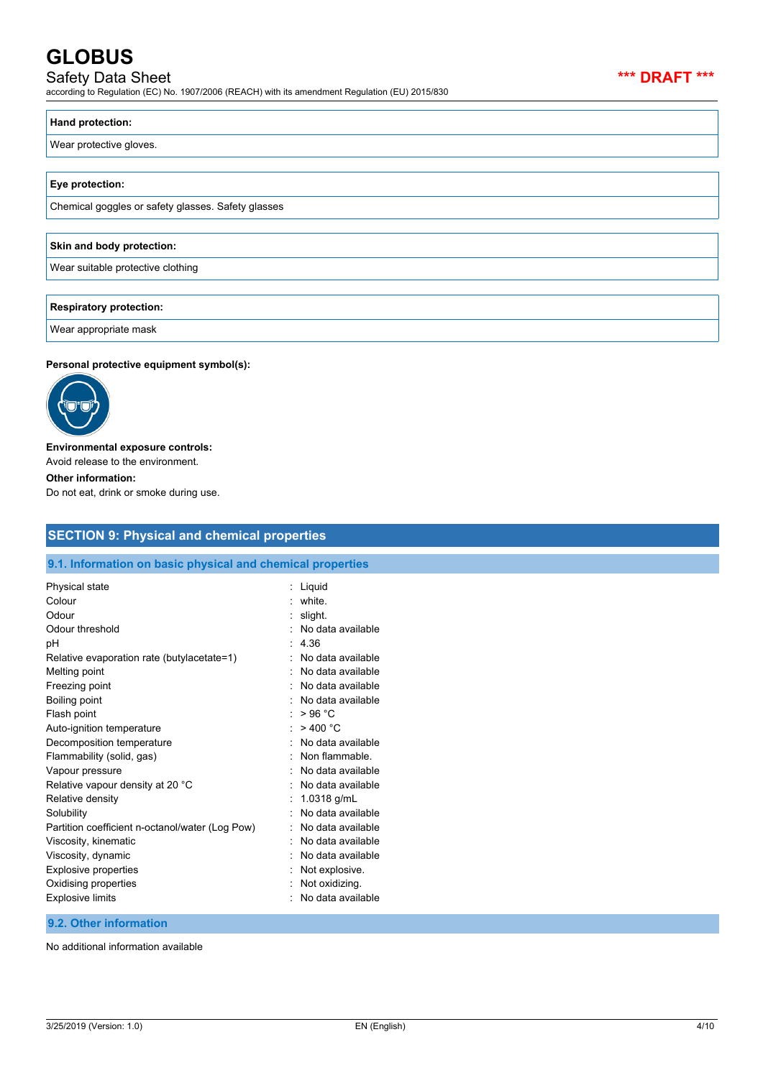## Safety Data Sheet **\*\*\* DRAFT \*\*\***

according to Regulation (EC) No. 1907/2006 (REACH) with its amendment Regulation (EU) 2015/830

#### **Hand protection:**

Wear protective gloves.

#### **Eye protection:**

Chemical goggles or safety glasses. Safety glasses

## **Skin and body protection:**

Wear suitable protective clothing

#### **Respiratory protection:**

Wear appropriate mask

#### **Personal protective equipment symbol(s):**



## **Environmental exposure controls:** Avoid release to the environment. **Other information:**

Do not eat, drink or smoke during use.

## **SECTION 9: Physical and chemical properties**

#### **9.1. Information on basic physical and chemical properties**

| Physical state<br>Colour<br>Odour<br>Odour threshold<br>рH<br>Relative evaporation rate (butylacetate=1)<br>Melting point | Liquid<br>white<br>slight.<br>No data available<br>4.36<br>No data available<br>No data available |
|---------------------------------------------------------------------------------------------------------------------------|---------------------------------------------------------------------------------------------------|
| Freezing point<br>Boiling point<br>Flash point                                                                            | No data available<br>No data available<br>>96 °C                                                  |
| Auto-ignition temperature<br>Decomposition temperature                                                                    | > 400 °C<br>No data available                                                                     |
| Flammability (solid, gas)<br>Vapour pressure                                                                              | Non flammable<br>No data available                                                                |
| Relative vapour density at 20 °C<br>Relative density                                                                      | No data available<br>1.0318 g/mL                                                                  |
| Solubility<br>Partition coefficient n-octanol/water (Log Pow)<br>Viscosity, kinematic                                     | No data available<br>No data available<br>No data available                                       |
| Viscosity, dynamic<br><b>Explosive properties</b><br>Oxidising properties<br><b>Explosive limits</b>                      | No data available<br>Not explosive.<br>Not oxidizing.<br>No data available                        |

### **9.2. Other information**

No additional information available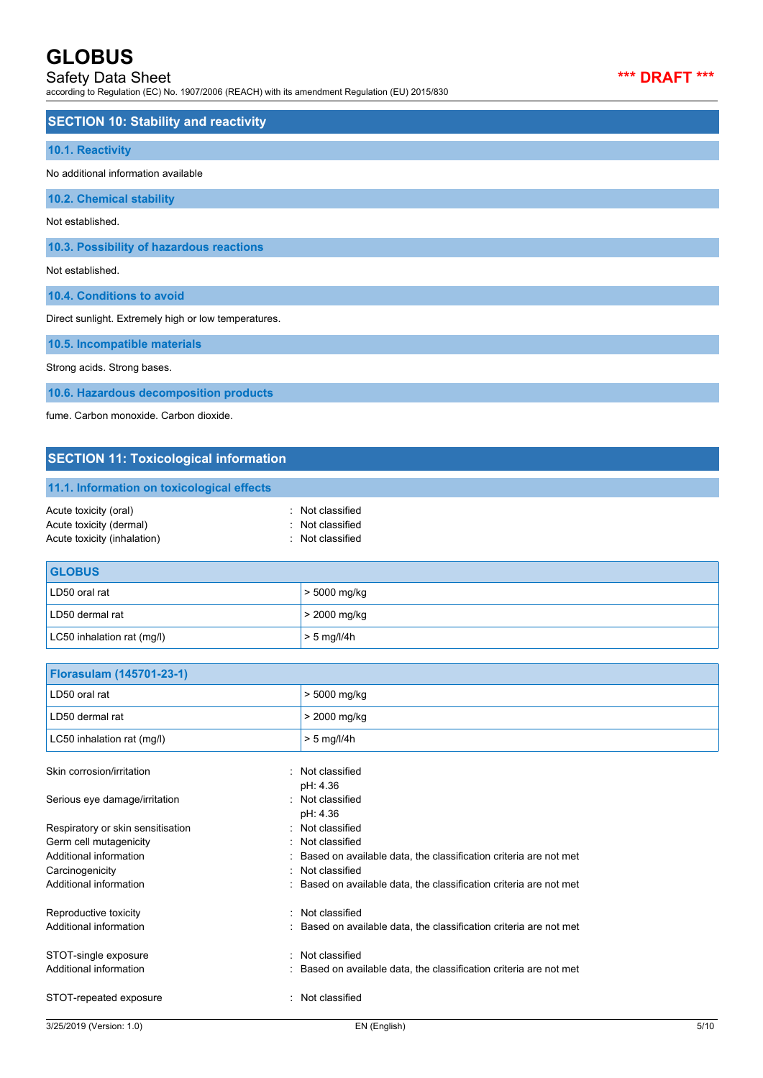### Safety Data Sheet **\*\*\* DRAFT \*\*\***

according to Regulation (EC) No. 1907/2006 (REACH) with its amendment Regulation (EU) 2015/830



| <b>SECTION 10: Stability and reactivity</b>          |  |
|------------------------------------------------------|--|
| 10.1. Reactivity                                     |  |
| No additional information available                  |  |
| <b>10.2. Chemical stability</b>                      |  |
| Not established.                                     |  |
| 10.3. Possibility of hazardous reactions             |  |
| Not established.                                     |  |
| 10.4. Conditions to avoid                            |  |
| Direct sunlight. Extremely high or low temperatures. |  |
| 10.5. Incompatible materials                         |  |

Strong acids. Strong bases.

**10.6. Hazardous decomposition products**

fume. Carbon monoxide. Carbon dioxide.

## **SECTION 11: Toxicological information**

**11.1. Information on toxicological effects**

| : Not classified |
|------------------|
| : Not classified |
| : Not classified |
|                  |

| <b>GLOBUS</b>              |                |
|----------------------------|----------------|
| LD50 oral rat              | $>$ 5000 mg/kg |
| LD50 dermal rat            | $>$ 2000 mg/kg |
| LC50 inhalation rat (mg/l) | $> 5$ mg/l/4h  |

| Florasulam (145701-23-1)          |                                                                  |      |
|-----------------------------------|------------------------------------------------------------------|------|
| LD50 oral rat                     | > 5000 mg/kg                                                     |      |
| LD50 dermal rat                   | > 2000 mg/kg                                                     |      |
| LC50 inhalation rat (mg/l)        | $> 5$ mg/l/4h                                                    |      |
| Skin corrosion/irritation         | Not classified<br>pH: 4.36                                       |      |
| Serious eye damage/irritation     | Not classified<br>$\bullet$<br>pH: 4.36                          |      |
| Respiratory or skin sensitisation | Not classified                                                   |      |
| Germ cell mutagenicity            | Not classified                                                   |      |
| Additional information            | Based on available data, the classification criteria are not met |      |
| Carcinogenicity                   | Not classified                                                   |      |
| Additional information            | Based on available data, the classification criteria are not met |      |
| Reproductive toxicity             | Not classified<br>۰                                              |      |
| Additional information            | Based on available data, the classification criteria are not met |      |
| STOT-single exposure              | Not classified                                                   |      |
| Additional information            | Based on available data, the classification criteria are not met |      |
| STOT-repeated exposure            | Not classified                                                   |      |
| 3/25/2019 (Version: 1.0)          | EN (English)                                                     | 5/10 |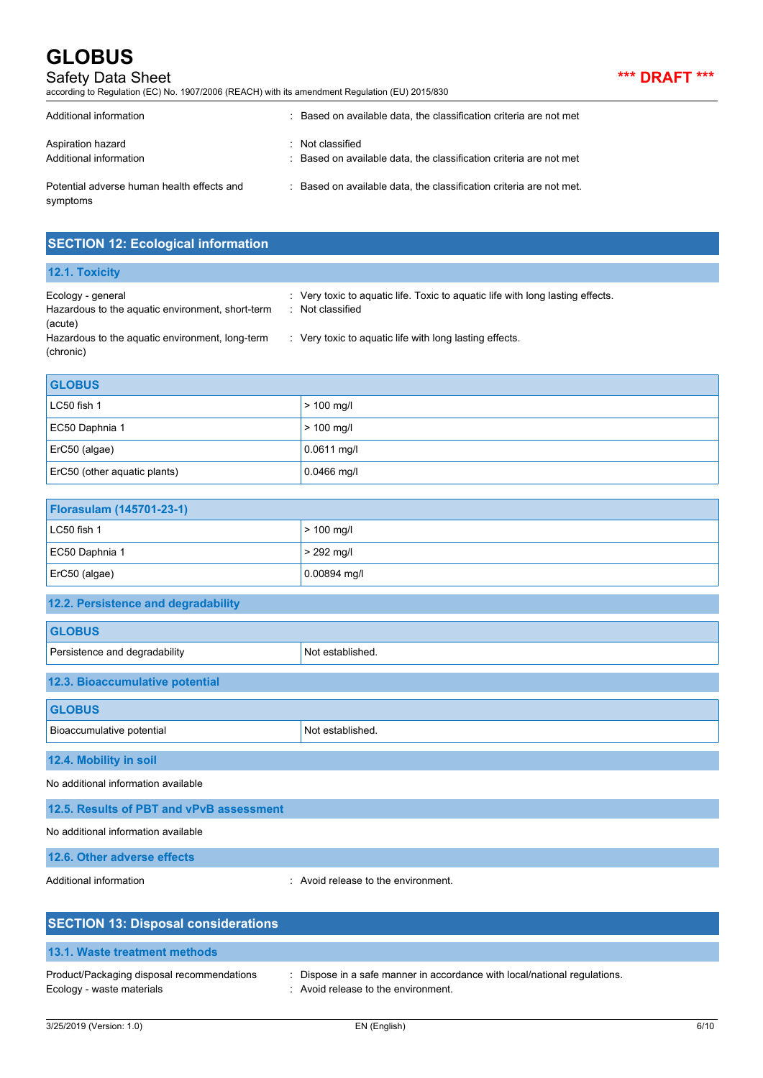## Safety Data Sheet **\*\*\* DRAFT \*\*\***

according to Regulation (EC) No. 1907/2006 (REACH) with its amendment Regulation (EU) 2015/830

| ٠ |  | ı | ٠ |
|---|--|---|---|
|---|--|---|---|

| Additional information                                 | : Based on available data, the classification criteria are not met                     |
|--------------------------------------------------------|----------------------------------------------------------------------------------------|
| Aspiration hazard<br>Additional information            | : Not classified<br>: Based on available data, the classification criteria are not met |
| Potential adverse human health effects and<br>symptoms | : Based on available data, the classification criteria are not met.                    |

## **SECTION 12: Ecological information**

| 12.1. Toxicity                                                        |                                                                                                |
|-----------------------------------------------------------------------|------------------------------------------------------------------------------------------------|
| Ecology - general<br>Hazardous to the aquatic environment, short-term | Very toxic to aquatic life. Toxic to aquatic life with long lasting effects.<br>Not classified |
| (acute)                                                               |                                                                                                |
| Hazardous to the aquatic environment, long-term                       | : Very toxic to aquatic life with long lasting effects.                                        |
| (chronic)                                                             |                                                                                                |

| <b>GLOBUS</b>                |               |
|------------------------------|---------------|
| LC50 fish 1                  | $> 100$ mg/l  |
| EC50 Daphnia 1               | $> 100$ mg/l  |
| ErC50 (algae)                | $0.0611$ mg/l |
| ErC50 (other aquatic plants) | $0.0466$ mg/l |

| <b>Florasulam (145701-23-1)</b> |                |  |  |
|---------------------------------|----------------|--|--|
| $LC50$ fish 1                   | $> 100$ mg/l   |  |  |
| EC50 Daphnia 1                  | $> 292$ mg/l   |  |  |
| $ $ ErC50 (algae)               | $0.00894$ mg/l |  |  |

### **12.2. Persistence and degradability**

| <b>GLOBUS</b>                   |                  |  |  |
|---------------------------------|------------------|--|--|
| Persistence and degradability   | Not established. |  |  |
| 12.3. Bioaccumulative potential |                  |  |  |
| <b>GLOBUS</b>                   |                  |  |  |
| Bioaccumulative potential       | Not established. |  |  |
| 12.4. Mobility in soil          |                  |  |  |

No additional information available

| 12.5. Results of PBT and vPvB assessment |
|------------------------------------------|
| No additional information available      |
| 12.6. Other adverse effects              |

Additional information **interest in the environment** of the environment.

| <b>SECTION 13: Disposal considerations</b>                              |                                                                                                                  |
|-------------------------------------------------------------------------|------------------------------------------------------------------------------------------------------------------|
| 13.1. Waste treatment methods                                           |                                                                                                                  |
| Product/Packaging disposal recommendations<br>Ecology - waste materials | : Dispose in a safe manner in accordance with local/national regulations.<br>: Avoid release to the environment. |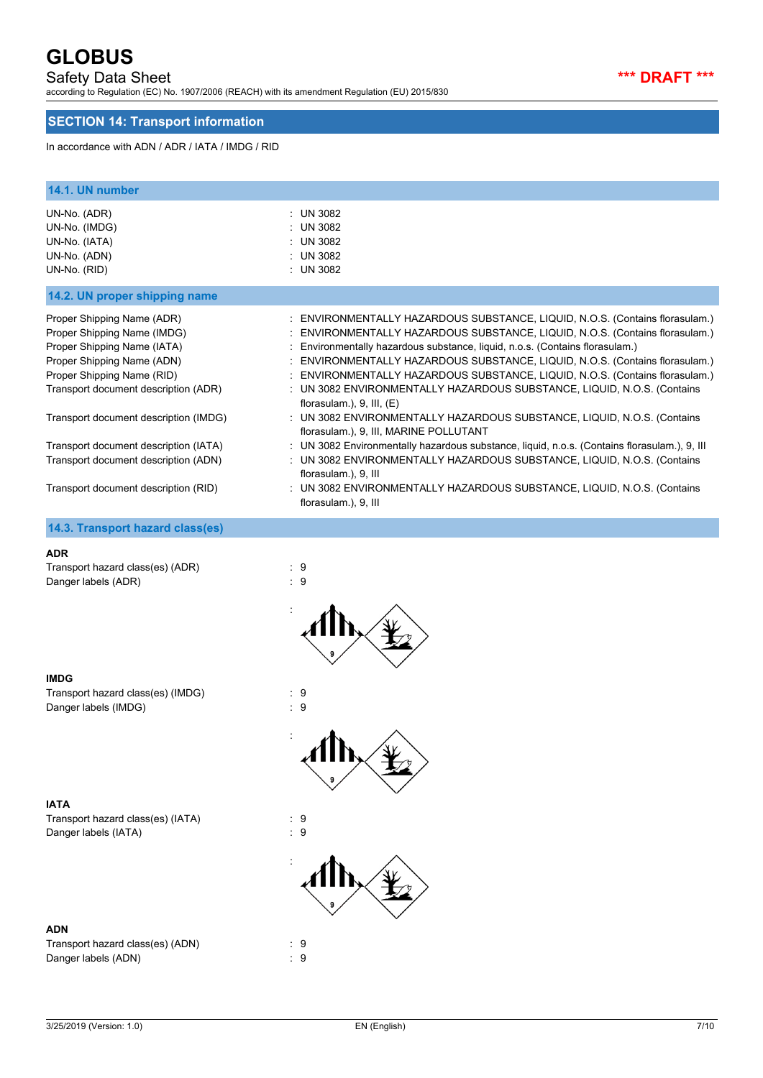### Safety Data Sheet **\*\*\* DRAFT \*\*\***

according to Regulation (EC) No. 1907/2006 (REACH) with its amendment Regulation (EU) 2015/830

## **SECTION 14: Transport information**

In accordance with ADN / ADR / IATA / IMDG / RID

| 14.1. UN number                                                                                                                                                                                                                                                                                                                                                |                                                                                                                                                                                                                                                                                                                                                                                                                                                                                                                                                                                                                                                                                                                                                                                                                                                                                                                                          |
|----------------------------------------------------------------------------------------------------------------------------------------------------------------------------------------------------------------------------------------------------------------------------------------------------------------------------------------------------------------|------------------------------------------------------------------------------------------------------------------------------------------------------------------------------------------------------------------------------------------------------------------------------------------------------------------------------------------------------------------------------------------------------------------------------------------------------------------------------------------------------------------------------------------------------------------------------------------------------------------------------------------------------------------------------------------------------------------------------------------------------------------------------------------------------------------------------------------------------------------------------------------------------------------------------------------|
| UN-No. (ADR)<br>UN-No. (IMDG)<br>UN-No. (IATA)<br>UN-No. (ADN)<br>UN-No. (RID)                                                                                                                                                                                                                                                                                 | : UN 3082<br>: UN 3082<br><b>UN 3082</b><br>: UN 3082<br>: UN 3082                                                                                                                                                                                                                                                                                                                                                                                                                                                                                                                                                                                                                                                                                                                                                                                                                                                                       |
| 14.2. UN proper shipping name                                                                                                                                                                                                                                                                                                                                  |                                                                                                                                                                                                                                                                                                                                                                                                                                                                                                                                                                                                                                                                                                                                                                                                                                                                                                                                          |
| Proper Shipping Name (ADR)<br>Proper Shipping Name (IMDG)<br>Proper Shipping Name (IATA)<br>Proper Shipping Name (ADN)<br>Proper Shipping Name (RID)<br>Transport document description (ADR)<br>Transport document description (IMDG)<br>Transport document description (IATA)<br>Transport document description (ADN)<br>Transport document description (RID) | ENVIRONMENTALLY HAZARDOUS SUBSTANCE, LIQUID, N.O.S. (Contains florasulam.)<br>ENVIRONMENTALLY HAZARDOUS SUBSTANCE, LIQUID, N.O.S. (Contains florasulam.)<br>Environmentally hazardous substance, liquid, n.o.s. (Contains florasulam.)<br>ENVIRONMENTALLY HAZARDOUS SUBSTANCE, LIQUID, N.O.S. (Contains florasulam.)<br>ENVIRONMENTALLY HAZARDOUS SUBSTANCE, LIQUID, N.O.S. (Contains florasulam.)<br>: UN 3082 ENVIRONMENTALLY HAZARDOUS SUBSTANCE, LIQUID, N.O.S. (Contains<br>florasulam.), $9$ , III, $(E)$<br>: UN 3082 ENVIRONMENTALLY HAZARDOUS SUBSTANCE, LIQUID, N.O.S. (Contains<br>florasulam.), 9, III, MARINE POLLUTANT<br>: UN 3082 Environmentally hazardous substance, liquid, n.o.s. (Contains florasulam.), 9, III<br>: UN 3082 ENVIRONMENTALLY HAZARDOUS SUBSTANCE, LIQUID, N.O.S. (Contains<br>florasulam.), 9, III<br>UN 3082 ENVIRONMENTALLY HAZARDOUS SUBSTANCE, LIQUID, N.O.S. (Contains<br>florasulam.), 9, III |
| 14.3. Transport hazard class(es)                                                                                                                                                                                                                                                                                                                               |                                                                                                                                                                                                                                                                                                                                                                                                                                                                                                                                                                                                                                                                                                                                                                                                                                                                                                                                          |
| <b>ADR</b><br>Transport hazard class(es) (ADR)<br>Danger labels (ADR)                                                                                                                                                                                                                                                                                          | $\cdot$ 9<br>:9                                                                                                                                                                                                                                                                                                                                                                                                                                                                                                                                                                                                                                                                                                                                                                                                                                                                                                                          |

#### **IMDG**

Transport hazard class(es) (IMDG) : 9 Danger labels (IMDG) 3 and 3 and 3 and 3 and 3 and 3 and 3 and 3 and 3 and 3 and 3 and 3 and 3 and 3 and 3 and 3 and 3 and 3 and 3 and 3 and 3 and 3 and 3 and 3 and 3 and 3 and 3 and 3 and 3 and 3 and 3 and 3 and 3 and 3 a

:

:

**IATA** Transport hazard class(es) (IATA) : 9 Danger labels (IATA) 32 and 20 and 20 and 20 and 20 and 20 and 20 and 20 and 20 and 20 and 20 and 20 and 20 and 20 and 20 and 20 and 20 and 20 and 20 and 20 and 20 and 20 and 20 and 20 and 20 and 20 and 20 and 20 and 20 an

#### **ADN**

Transport hazard class(es) (ADN) : 9 Danger labels (ADN)  $\qquad \qquad$  : 9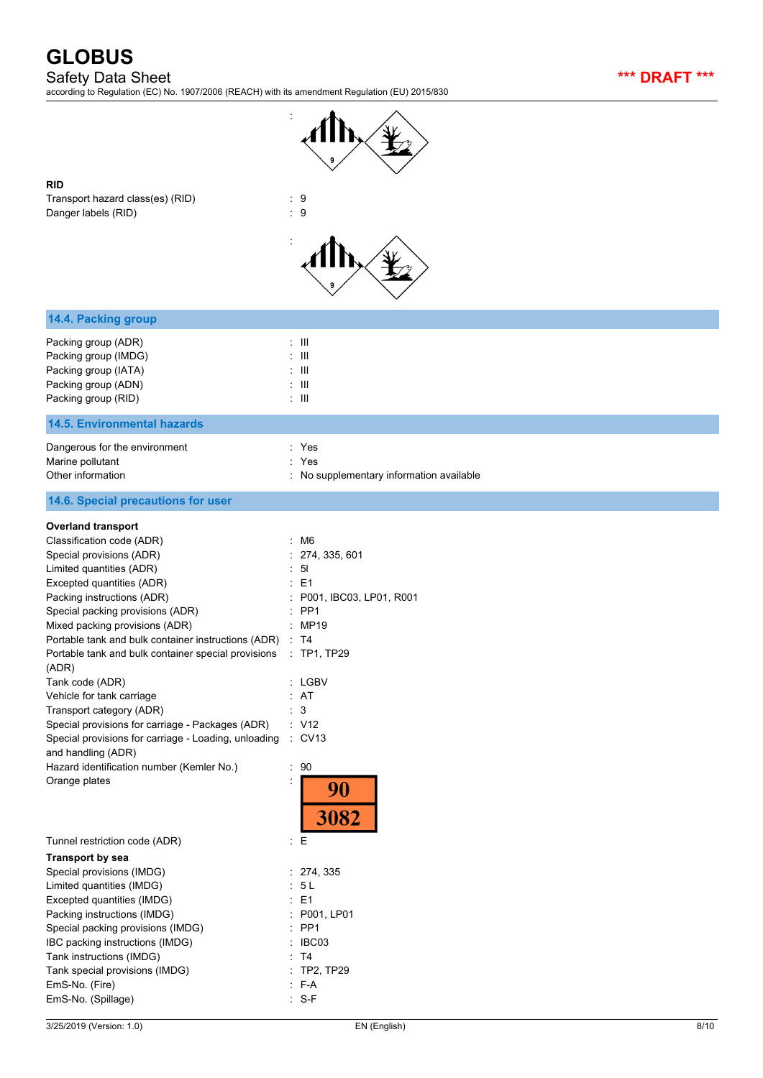Safety Data Sheet **\*\*\* DRAFT \*\*\***

according to Regulation (EC) No. 1907/2006 (REACH) with its amendment Regulation (EU) 2015/830



**RID**

Transport hazard class(es) (RID)  $\qquad \qquad : 9$ Danger labels (RID) 32 and 20 and 20 and 20 and 20 and 20 and 20 and 20 and 20 and 20 and 20 and 20 and 20 and 20 and 20 and 20 and 20 and 20 and 20 and 20 and 20 and 20 and 20 and 20 and 20 and 20 and 20 and 20 and 20 and



| : III<br>$\pm$ 111<br>: III<br>$\therefore$ III<br>$\pm$ 111                                                                                                                                                                                                                                                                     |
|----------------------------------------------------------------------------------------------------------------------------------------------------------------------------------------------------------------------------------------------------------------------------------------------------------------------------------|
|                                                                                                                                                                                                                                                                                                                                  |
| : Yes<br>Yes<br>: No supplementary information available                                                                                                                                                                                                                                                                         |
|                                                                                                                                                                                                                                                                                                                                  |
| $\cdot$ M6<br>274, 335, 601<br>51<br>: E1<br>P001, IBC03, LP01, R001<br>PP <sub>1</sub><br>: MP19<br>Portable tank and bulk container instructions (ADR) : T4<br>$\therefore$ TP1, TP29<br>: LGBV<br>: AT<br>$\mathbf{3}$<br>$\therefore$ V12<br>Special provisions for carriage - Loading, unloading : CV13<br>90<br>90<br>3082 |
| $\mathbf{E}$                                                                                                                                                                                                                                                                                                                     |
| : 274, 335<br>: 5 L<br>$E = 1$<br>P001, LP01<br>PP <sub>1</sub><br>IBC03<br>T <sub>4</sub><br>TP2, TP29<br>$: F-A$                                                                                                                                                                                                               |
|                                                                                                                                                                                                                                                                                                                                  |

EmS-No. (Spillage) : S-F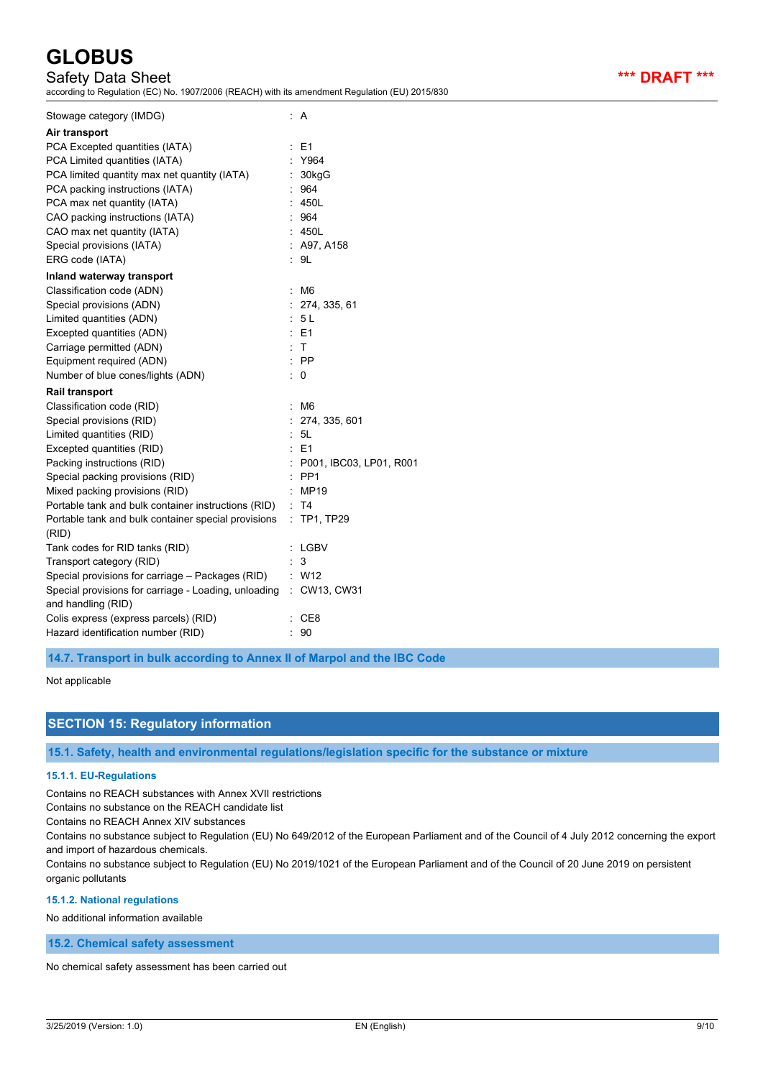## Safety Data Sheet **\*\*\* DRAFT \*\*\***

according to Regulation (EC) No. 1907/2006 (REACH) with its amendment Regulation (EU) 2015/830

| Stowage category (IMDG)                              | : A                     |
|------------------------------------------------------|-------------------------|
| Air transport                                        |                         |
| PCA Excepted quantities (IATA)                       | E <sub>1</sub>          |
| PCA Limited quantities (IATA)                        | Y964                    |
| PCA limited quantity max net quantity (IATA)         | 30kgG                   |
| PCA packing instructions (IATA)                      | 964                     |
| PCA max net quantity (IATA)                          | 450L                    |
| CAO packing instructions (IATA)                      | 964                     |
| CAO max net quantity (IATA)                          | 450L                    |
| Special provisions (IATA)                            | : A97, A158             |
| ERG code (IATA)                                      | : 9L                    |
| Inland waterway transport                            |                         |
| Classification code (ADN)                            | : M6                    |
| Special provisions (ADN)                             | : 274, 335, 61          |
| Limited quantities (ADN)                             | : 5L                    |
| Excepted quantities (ADN)                            | $E = 1$                 |
| Carriage permitted (ADN)                             | : T                     |
| Equipment required (ADN)                             | $\therefore$ PP         |
| Number of blue cones/lights (ADN)                    | $\therefore$ 0          |
| Rail transport                                       |                         |
| Classification code (RID)                            | M <sub>6</sub>          |
| Special provisions (RID)                             | 274, 335, 601           |
| Limited quantities (RID)                             | 5L                      |
| Excepted quantities (RID)                            | $E = 1$                 |
| Packing instructions (RID)                           | P001, IBC03, LP01, R001 |
| Special packing provisions (RID)                     | PP <sub>1</sub>         |
| Mixed packing provisions (RID)                       | <b>MP19</b>             |
| Portable tank and bulk container instructions (RID)  | <b>T4</b>               |
| Portable tank and bulk container special provisions  | : TP1, TP29             |
| (RID)                                                |                         |
| Tank codes for RID tanks (RID)                       | LGBV                    |
| Transport category (RID)                             | 3                       |
| Special provisions for carriage - Packages (RID)     | : W12                   |
| Special provisions for carriage - Loading, unloading | : CW13, CW31            |
| and handling (RID)                                   |                         |
| Colis express (express parcels) (RID)                | CE8                     |
| Hazard identification number (RID)                   | 90                      |

**14.7. Transport in bulk according to Annex II of Marpol and the IBC Code**

#### Not applicable

## **SECTION 15: Regulatory information**

**15.1. Safety, health and environmental regulations/legislation specific for the substance or mixture**

#### **15.1.1. EU-Regulations**

Contains no REACH substances with Annex XVII restrictions

Contains no substance on the REACH candidate list

Contains no REACH Annex XIV substances

Contains no substance subject to Regulation (EU) No 649/2012 of the European Parliament and of the Council of 4 July 2012 concerning the export and import of hazardous chemicals.

Contains no substance subject to Regulation (EU) No 2019/1021 of the European Parliament and of the Council of 20 June 2019 on persistent organic pollutants

#### **15.1.2. National regulations**

No additional information available

### **15.2. Chemical safety assessment**

No chemical safety assessment has been carried out